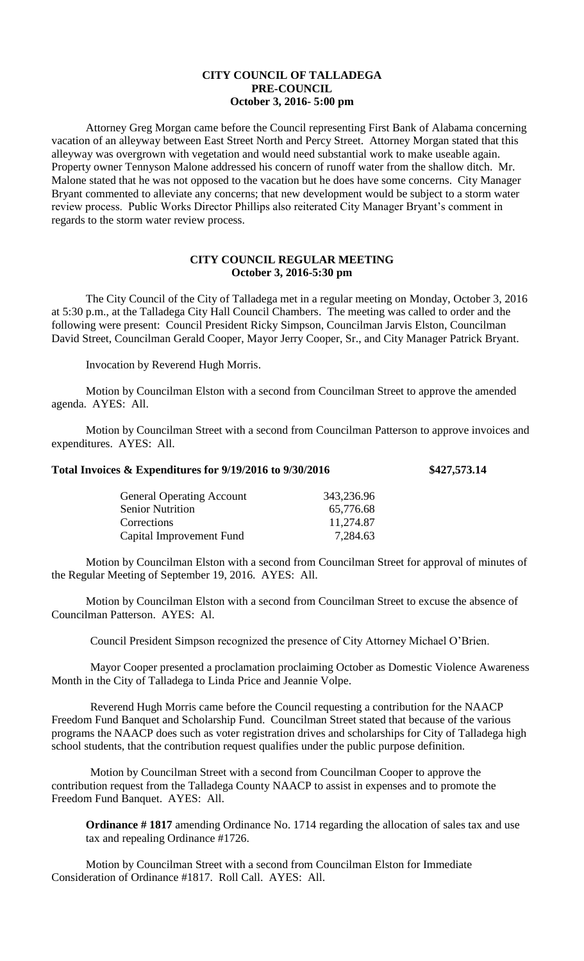## **CITY COUNCIL OF TALLADEGA PRE-COUNCIL October 3, 2016- 5:00 pm**

Attorney Greg Morgan came before the Council representing First Bank of Alabama concerning vacation of an alleyway between East Street North and Percy Street. Attorney Morgan stated that this alleyway was overgrown with vegetation and would need substantial work to make useable again. Property owner Tennyson Malone addressed his concern of runoff water from the shallow ditch. Mr. Malone stated that he was not opposed to the vacation but he does have some concerns. City Manager Bryant commented to alleviate any concerns; that new development would be subject to a storm water review process. Public Works Director Phillips also reiterated City Manager Bryant's comment in regards to the storm water review process.

## **CITY COUNCIL REGULAR MEETING October 3, 2016-5:30 pm**

The City Council of the City of Talladega met in a regular meeting on Monday, October 3, 2016 at 5:30 p.m., at the Talladega City Hall Council Chambers. The meeting was called to order and the following were present: Council President Ricky Simpson, Councilman Jarvis Elston, Councilman David Street, Councilman Gerald Cooper, Mayor Jerry Cooper, Sr., and City Manager Patrick Bryant.

Invocation by Reverend Hugh Morris.

Motion by Councilman Elston with a second from Councilman Street to approve the amended agenda. AYES: All.

Motion by Councilman Street with a second from Councilman Patterson to approve invoices and expenditures. AYES: All.

## **Total Invoices & Expenditures for 9/19/2016 to 9/30/2016 \$427,573.14**

| <b>General Operating Account</b> | 343,236.96 |
|----------------------------------|------------|
| <b>Senior Nutrition</b>          | 65,776.68  |
| Corrections                      | 11,274.87  |
| Capital Improvement Fund         | 7,284.63   |

Motion by Councilman Elston with a second from Councilman Street for approval of minutes of the Regular Meeting of September 19, 2016. AYES: All.

Motion by Councilman Elston with a second from Councilman Street to excuse the absence of Councilman Patterson. AYES: Al.

Council President Simpson recognized the presence of City Attorney Michael O'Brien.

Mayor Cooper presented a proclamation proclaiming October as Domestic Violence Awareness Month in the City of Talladega to Linda Price and Jeannie Volpe.

Reverend Hugh Morris came before the Council requesting a contribution for the NAACP Freedom Fund Banquet and Scholarship Fund. Councilman Street stated that because of the various programs the NAACP does such as voter registration drives and scholarships for City of Talladega high school students, that the contribution request qualifies under the public purpose definition.

Motion by Councilman Street with a second from Councilman Cooper to approve the contribution request from the Talladega County NAACP to assist in expenses and to promote the Freedom Fund Banquet. AYES: All.

**Ordinance # 1817** amending Ordinance No. 1714 regarding the allocation of sales tax and use tax and repealing Ordinance #1726.

Motion by Councilman Street with a second from Councilman Elston for Immediate Consideration of Ordinance #1817. Roll Call. AYES: All.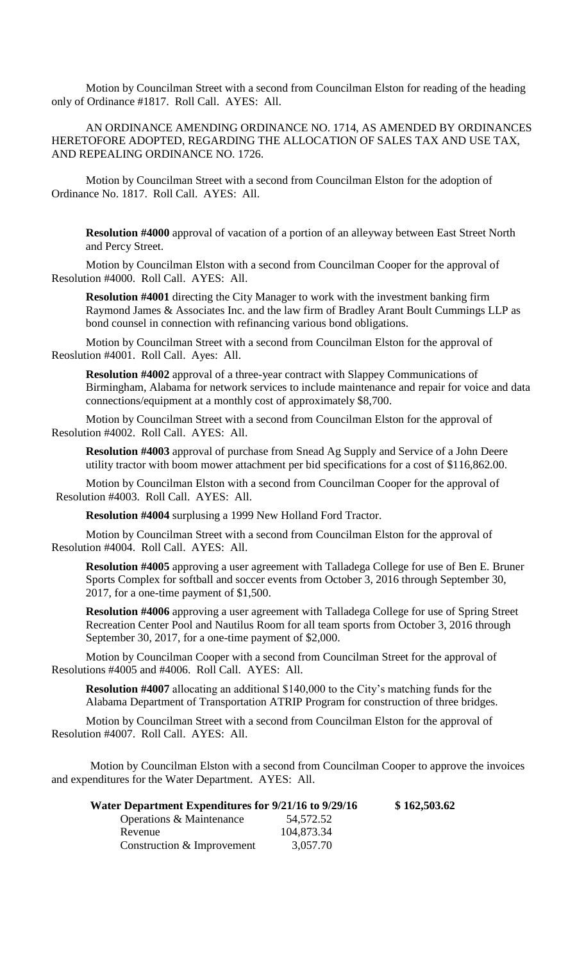Motion by Councilman Street with a second from Councilman Elston for reading of the heading only of Ordinance #1817. Roll Call. AYES: All.

AN ORDINANCE AMENDING ORDINANCE NO. 1714, AS AMENDED BY ORDINANCES HERETOFORE ADOPTED, REGARDING THE ALLOCATION OF SALES TAX AND USE TAX, AND REPEALING ORDINANCE NO. 1726.

Motion by Councilman Street with a second from Councilman Elston for the adoption of Ordinance No. 1817. Roll Call. AYES: All.

**Resolution #4000** approval of vacation of a portion of an alleyway between East Street North and Percy Street.

Motion by Councilman Elston with a second from Councilman Cooper for the approval of Resolution #4000. Roll Call. AYES: All.

**Resolution #4001** directing the City Manager to work with the investment banking firm Raymond James & Associates Inc. and the law firm of Bradley Arant Boult Cummings LLP as bond counsel in connection with refinancing various bond obligations.

Motion by Councilman Street with a second from Councilman Elston for the approval of Reoslution #4001. Roll Call. Ayes: All.

**Resolution #4002** approval of a three-year contract with Slappey Communications of Birmingham, Alabama for network services to include maintenance and repair for voice and data connections/equipment at a monthly cost of approximately \$8,700.

Motion by Councilman Street with a second from Councilman Elston for the approval of Resolution #4002. Roll Call. AYES: All.

**Resolution #4003** approval of purchase from Snead Ag Supply and Service of a John Deere utility tractor with boom mower attachment per bid specifications for a cost of \$116,862.00.

Motion by Councilman Elston with a second from Councilman Cooper for the approval of Resolution #4003. Roll Call. AYES: All.

**Resolution #4004** surplusing a 1999 New Holland Ford Tractor.

Motion by Councilman Street with a second from Councilman Elston for the approval of Resolution #4004. Roll Call. AYES: All.

**Resolution #4005** approving a user agreement with Talladega College for use of Ben E. Bruner Sports Complex for softball and soccer events from October 3, 2016 through September 30, 2017, for a one-time payment of \$1,500.

**Resolution #4006** approving a user agreement with Talladega College for use of Spring Street Recreation Center Pool and Nautilus Room for all team sports from October 3, 2016 through September 30, 2017, for a one-time payment of \$2,000.

Motion by Councilman Cooper with a second from Councilman Street for the approval of Resolutions #4005 and #4006. Roll Call. AYES: All.

**Resolution #4007** allocating an additional \$140,000 to the City's matching funds for the Alabama Department of Transportation ATRIP Program for construction of three bridges.

Motion by Councilman Street with a second from Councilman Elston for the approval of Resolution #4007. Roll Call. AYES: All.

Motion by Councilman Elston with a second from Councilman Cooper to approve the invoices and expenditures for the Water Department. AYES: All.

| Water Department Expenditures for 9/21/16 to 9/29/16 |            | \$162,503.62 |
|------------------------------------------------------|------------|--------------|
| Operations & Maintenance                             | 54,572.52  |              |
| Revenue                                              | 104,873.34 |              |
| Construction & Improvement                           | 3,057.70   |              |